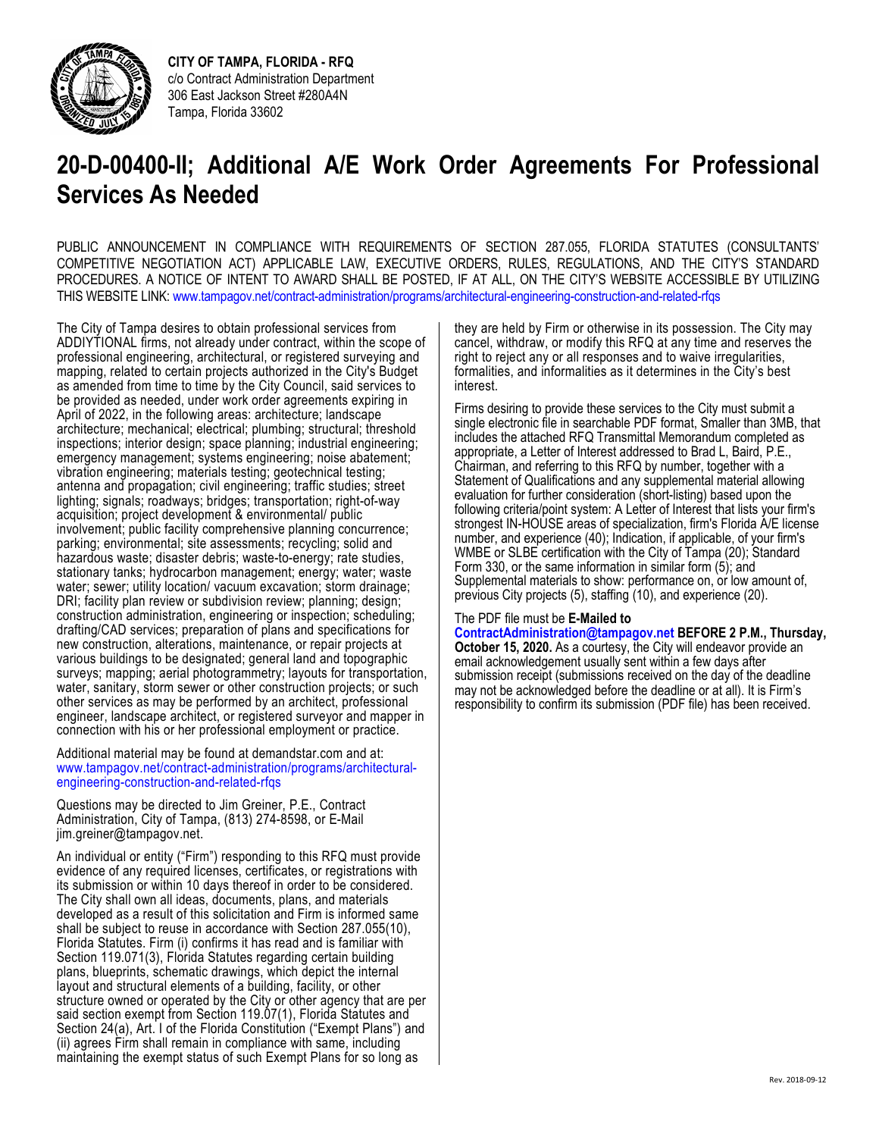

 **CITY OF TAMPA, FLORIDA - RFQ**  c/o Contract Administration Department 306 East Jackson Street #280A4N Tampa, Florida 33602

## **20-D-00400-II; Additional A/E Work Order Agreements For Professional Services As Needed**

 PUBLIC ANNOUNCEMENT IN COMPLIANCE WITH REQUIREMENTS OF SECTION 287.055, FLORIDA STATUTES (CONSULTANTS' PROCEDURES. A NOTICE OF INTENT TO AWARD SHALL BE POSTED, IF AT ALL, ON THE CITY'S WEBSITE ACCESSIBLE BY UTILIZING COMPETITIVE NEGOTIATION ACT) APPLICABLE LAW, EXECUTIVE ORDERS, RULES, REGULATIONS, AND THE CITY'S STANDARD THIS WEBSITE LINK: www.tampagov.net/contract-administration/programs/architectural-engineering-construction-and-related-rfqs

 inspections; interior design; space planning; industrial engineering; antenna and propagation; civil engineering; traffic studies; street hazardous waste; disaster debris; waste-to-energy; rate studies, water; sewer; utility location/ vacuum excavation; storm drainage; new construction, alterations, maintenance, or repair projects at water, sanitary, storm sewer or other construction projects; or such connection with his or her professional employment or practice. The City of Tampa desires to obtain professional services from ADDIYTIONAL firms, not already under contract, within the scope of professional engineering, architectural, or registered surveying and mapping, related to certain projects authorized in the City's Budget as amended from time to time by the City Council, said services to be provided as needed, under work order agreements expiring in April of 2022, in the following areas: architecture; landscape architecture; mechanical; electrical; plumbing; structural; threshold emergency management; systems engineering; noise abatement; vibration engineering; materials testing; geotechnical testing; lighting; signals; roadways; bridges; transportation; right-of-way acquisition; project development & environmental/ public involvement; public facility comprehensive planning concurrence; parking; environmental; site assessments; recycling; solid and stationary tanks; hydrocarbon management; energy; water; waste DRI; facility plan review or subdivision review; planning; design; construction administration, engineering or inspection; scheduling; drafting/CAD services; preparation of plans and specifications for various buildings to be designated; general land and topographic surveys; mapping; aerial photogrammetry; layouts for transportation, other services as may be performed by an architect, professional engineer, landscape architect, or registered surveyor and mapper in

Additional material may be found at demandstar.com and at: www.tampagov.net/contract-administration/programs/architectural- engineering-construction-and-related-rfqs

Questions may be directed to Jim Greiner, P.E., Contract Administration, City of Tampa, (813) 274-8598, or E-Mail jim.greiner@tampagov.net.

 An individual or entity ("Firm") responding to this RFQ must provide its submission or within 10 days thereof in order to be considered. Florida Statutes. Firm (i) confirms it has read and is familiar with structure owned or operated by the City or other agency that are per Section 24(a), Art. I of the Florida Constitution ("Exempt Plans") and evidence of any required licenses, certificates, or registrations with The City shall own all ideas, documents, plans, and materials developed as a result of this solicitation and Firm is informed same shall be subject to reuse in accordance with Section 287.055(10), Section 119.071(3), Florida Statutes regarding certain building plans, blueprints, schematic drawings, which depict the internal layout and structural elements of a building, facility, or other said section exempt from Section 119.07(1), Florida Statutes and (ii) agrees Firm shall remain in compliance with same, including maintaining the exempt status of such Exempt Plans for so long as

 they are held by Firm or otherwise in its possession. The City may cancel, withdraw, or modify this RFQ at any time and reserves the right to reject any or all responses and to waive irregularities, formalities, and informalities as it determines in the City's best interest.

Firms desiring to provide these services to the City must submit a single electronic file in searchable PDF format, Smaller than 3MB, that includes the attached RFQ Transmittal Memorandum completed as appropriate, a Letter of Interest addressed to Brad L, Baird, P.E., Chairman, and referring to this RFQ by number, together with a Statement of Qualifications and any supplemental material allowing evaluation for further consideration (short-listing) based upon the following criteria/point system: A Letter of Interest that lists your firm's strongest IN-HOUSE areas of specialization, firm's Florida A/E license number, and experience (40); Indication, if applicable, of your firm's WMBE or SLBE certification with the City of Tampa (20); Standard Form 330, or the same information in similar form (5); and Supplemental materials to show: performance on, or low amount of, previous City projects (5), staffing (10), and experience (20).

## The PDF file must be **E-Mailed to**

 **[ContractAdministration@tampagov.net](mailto:ContractAdministration@tampagov.net) BEFORE 2 P.M., Thursday, October 15, 2020.** As a courtesy, the City will endeavor provide an email acknowledgement usually sent within a few days after submission receipt (submissions received on the day of the deadline may not be acknowledged before the deadline or at all). It is Firm's responsibility to confirm its submission (PDF file) has been received.